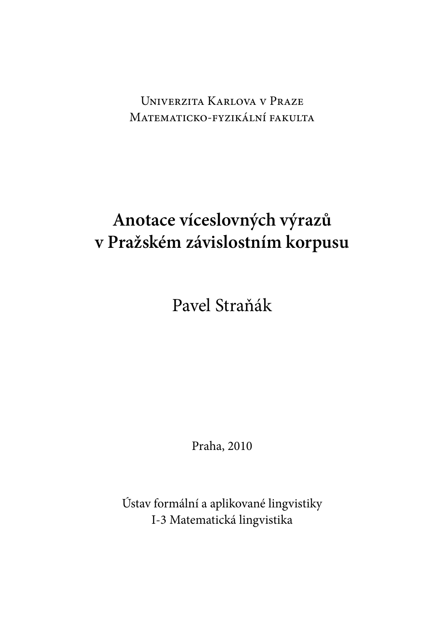UNIVERZITA KARLOVA V PRAZE MATEMATICKO-FYZIKÁLNÍ FAKULTA

## **Anotace víceslovných výrazů v Pražském závislostním korpusu**

Pavel Straňák

Praha, 2010

Ústav formální a aplikované lingvistiky I-3 Matematická lingvistika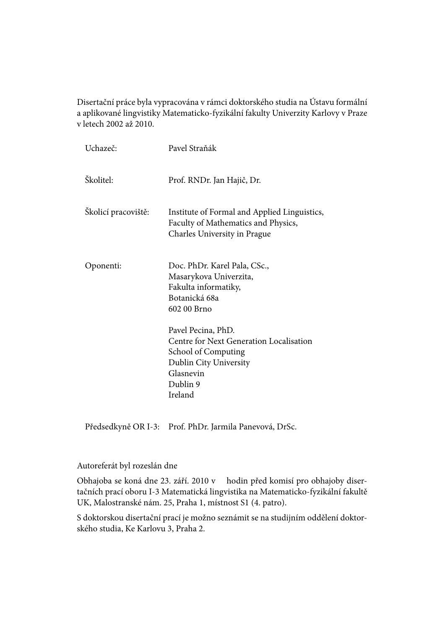Disertační práce byla vypracována v rámci doktorského studia na Ústavu formální a aplikované lingvistiky Matematicko-fyzikální fakulty Univerzity Karlovy v Praze v letech 2002 až 2010.

| Uchazeč:            | Pavel Straňák                                                                                                                                                                                                                                                               |
|---------------------|-----------------------------------------------------------------------------------------------------------------------------------------------------------------------------------------------------------------------------------------------------------------------------|
| Školitel:           | Prof. RNDr. Jan Hajič, Dr.                                                                                                                                                                                                                                                  |
| Školicí pracoviště: | Institute of Formal and Applied Linguistics,<br>Faculty of Mathematics and Physics,<br>Charles University in Prague                                                                                                                                                         |
| Oponenti:           | Doc. PhDr. Karel Pala, CSc.,<br>Masarykova Univerzita,<br>Fakulta informatiky,<br>Botanická 68a<br>602 00 Brno<br>Pavel Pecina, PhD.<br>Centre for Next Generation Localisation<br><b>School of Computing</b><br>Dublin City University<br>Glasnevin<br>Dublin 9<br>Ireland |

Předsedkyně OR I-3: Prof. PhDr. Jarmila Panevová, DrSc.

#### Autoreferát byl rozeslán dne

Obhajoba se koná dne 23. září. 2010 v hodin před komisí pro obhajoby disertačních prací oboru I-3 Matematická lingvistika na Matematicko-fyzikální fakultě UK, Malostranské nám. 25, Praha 1, místnost S1 (4. patro).

S doktorskou disertační prací je možno seznámit se na studijním oddělení doktorského studia, Ke Karlovu 3, Praha 2.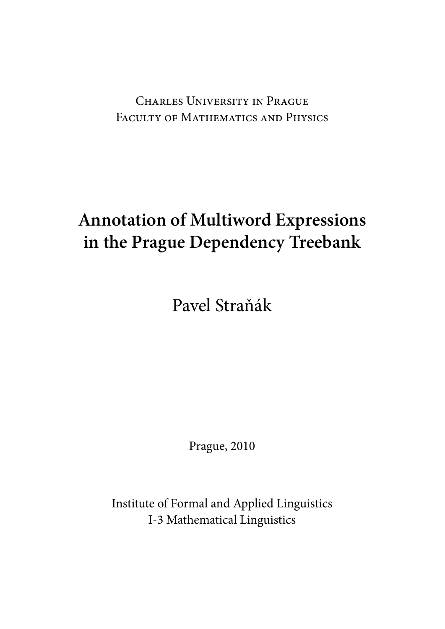CHARLES UNIVERSITY IN PRAGUE FACULTY OF MATHEMATICS AND PHYSICS

# **Annotation of Multiword Expressions in the Prague Dependency Treebank**

Pavel Straňák

Prague, 2010

Institute of Formal and Applied Linguistics I-3 Mathematical Linguistics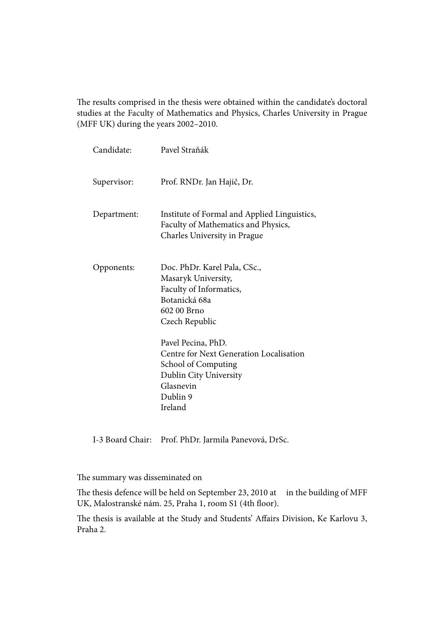The results comprised in the thesis were obtained within the candidate's doctoral studies at the Faculty of Mathematics and Physics, Charles University in Prague (MFF UK) during the years 2002–2010.

| Pavel Straňák                                                                                                                                             |
|-----------------------------------------------------------------------------------------------------------------------------------------------------------|
| Prof. RNDr. Jan Hajič, Dr.                                                                                                                                |
| Institute of Formal and Applied Linguistics,<br>Faculty of Mathematics and Physics,<br>Charles University in Prague                                       |
| Doc. PhDr. Karel Pala, CSc.,<br>Masaryk University,<br>Faculty of Informatics,<br>Botanická 68a<br>602 00 Brno<br>Czech Republic                          |
| Pavel Pecina, PhD.<br>Centre for Next Generation Localisation<br><b>School of Computing</b><br>Dublin City University<br>Glasnevin<br>Dublin 9<br>Ireland |
|                                                                                                                                                           |

I-3 Board Chair: Prof. PhDr. Jarmila Panevová, DrSc.

The summary was disseminated on

The thesis defence will be held on September 23, 2010 at in the building of MFF UK, Malostranské nám. 25, Praha 1, room S1 (4th floor).

The thesis is available at the Study and Students' Affairs Division, Ke Karlovu 3, Praha 2.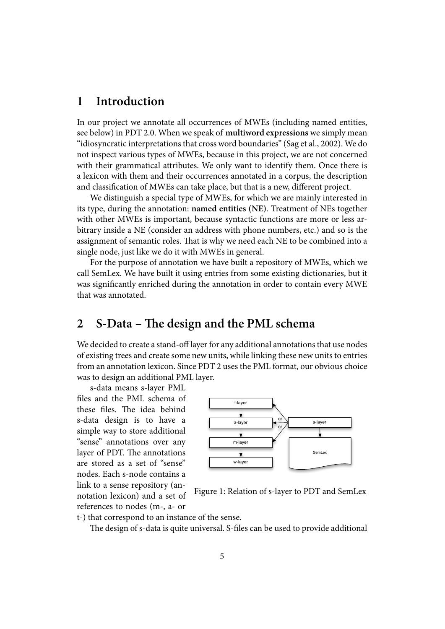## **1 Introduction**

In our project we annotate all occurrences of MWEs (including named entities, see below) in PDT 2.0. When we speak of **multiword expressions** we simply mean "idiosyncratic interpretations that cross word boundaries" (Sag et al., 2002). We do not inspect various types of MWEs, because in this project, we are not concerned with their grammatical attributes. We only want to identify them. Once there is a lexicon with them and their occurrences annotated in a [corpus, the des](#page-18-0)cription and classification of MWEs can take place, but that is a new, different project.

We distinguish a special type of MWEs, for which we are mainly interested in its type, during the annotation: **named entities (NE)**. Treatment of NEs together with other MWEs is important, because syntactic functions are more or less arbitrary inside a NE (consider an address with phone numbers, etc.) and so is the assignment of semantic roles. That is why we need each NE to be combined into a single node, just like we do it with MWEs in general.

For the purpose of annotation we have built a repository of MWEs, which we call SemLex. We have built it using entries from some existing dictionaries, but it was significantly enriched during the annotation in order to contain every MWE that was annotated.

## 2 S-Data – The design and the PML schema

We decided to create a stand-off layer for any additional annotations that use nodes of existing trees and create some new units, while linking these new units to entries from an annotation lexicon. Since PDT 2 uses the PML format, our obvious choice was to design an additional PML layer.

s-data means s-layer PML files and the PML schema of these files. The idea behind s-data design is to have a simple way to store additional "sense" annotations over any layer of PDT. The annotations are stored as a set of "sense" nodes. Each s-node contains a link to a sense repository (annotation lexicon) and a set of references to nodes (m-, a- or



Figure 1: Relation of s-layer to PDT and SemLex

t-) that correspond to an instance of the sense.

The design of s-data is quite universal. S-files can be used to provide additional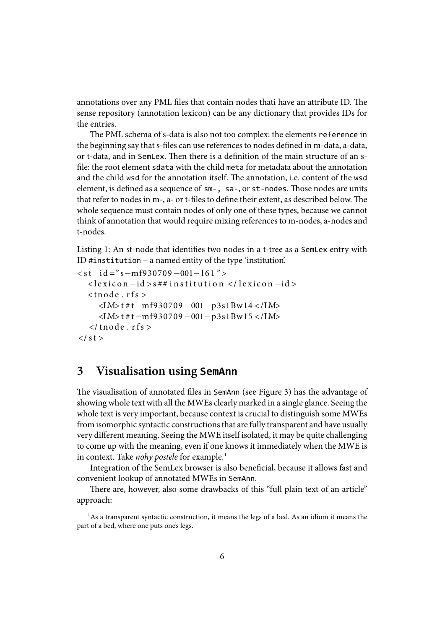annotations over any PML files that contain nodes thati have an attribute ID. The sense repository (annotation lexicon) can be any dictionary that provides IDs for the entries.

The PML schema of s-data is also not too complex: the elements reference in the beginning say that s-files can use references to nodes defined in m-data, a-data, or t-data, and in SemLex. Then there is a definition of the main structure of an sfile: the root element sdata with the child meta for metadata about the annotation and the child wsd for the annotation itself. The annotation, i.e. content of the wsd element, is defined as a sequence of sm-, sa-, or st-nodes. Those nodes are units that refer to nodes in m-, a- or t-files to define their extent, as described below. The whole sequence must contain nodes of only one of these types, because we cannot think of annotation that would require mixing references to m-nodes, a-nodes and t-nodes.

Listing 1: An st-node that identifies two nodes in a t-tree as a SemLex entry with ID #institution – a named entity of the type 'institution'.

```
< s t i d =" s−mf930709 −001−l 6 1 " >
  < l e x i c o n −id > s ## i n s t i t u t i o n < / l e x i c o n −id >
   <tnode.rfs>
      <LM> t # t−mf930709 −001−p3s1Bw14 < /LM>
      <LM> t # t−mf930709 −001−p3s1Bw15 < /LM>
   \langle t n o de . r f s >\langle st >
```
## **3 Visualisation using SemAnn**

The visualisation of annotated files in SemAnn (see Figure 3) has the advantage of showing whole text with all the MWEs clearly marked in a single glance. Seeing the whole text is very important, because context is crucial to distinguish some MWEs from isomorphic syntactic constructions that are fully tran[sp](#page-9-0)arent and have usually very different meaning. Seeing the MWE itself isolated, it may be quite challenging to come up with the meaning, even if one knows it immediately when the MWE is in context. Take *nohy postele* for example.<sup>1</sup>

Integration of the SemLex browser is also beneficial, because it allows fast and convenient lookup of annotated MWEs in SemAnn.

There are, however, also some drawb[ac](#page-5-0)ks of this "full plain text of an article" approach:

<span id="page-5-0"></span><sup>&</sup>lt;sup>1</sup>As a transparent syntactic construction, it means the legs of a bed. As an idiom it means the part of a bed, where one puts one's legs.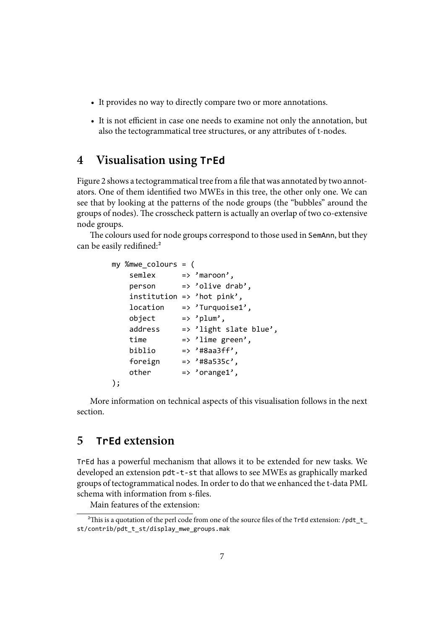- It provides no way to directly compare two or more annotations.
- It is not efficient in case one needs to examine not only the annotation, but also the tectogrammatical tree structures, or any attributes of t-nodes.

## **4 Visualisation using TrEd**

Figure 2 shows a tectogrammatical tree from a file that was annotated by two annotators. One of them identified two MWEs in this tree, the other only one. We can see that by looking at the patterns of the node groups (the "bubbles" around the groups [o](#page-7-0)f nodes). The crosscheck pattern is actually an overlap of two co-extensive node groups.

The colours used for node groups correspond to those used in SemAnn, but they can be easily redifined: $^{2}$ 

```
my %mwe_colours = (
   semlex => 'maroon',
   person => 'olive drab',
   institution => 'hot pink',
   location => 'Turquoise1',
   object => 'plum',
   address => 'light slate blue',
   time => 'lime green',
   biblio => '#8aa3ff',
   foreign => '#8a535c',
   other => 'orange1',
);
```
More information on technical aspects of this visualisation follows in the next section.

## **5 TrEd extension**

TrEd has a powerful mechanism that allows it to be extended for new tasks. We developed an extension pdt-t-st that allows to see MWEs as graphically marked groups of tectogrammatical nodes. In order to do that we enhanced the t-data PML schema with information from s-files.

Main features of the extension:

<sup>&</sup>lt;sup>2</sup>This is a quotation of the perl code from one of the source files of the TrEd extension: /pdt\_t\_ st/contrib/pdt\_t\_st/display\_mwe\_groups.mak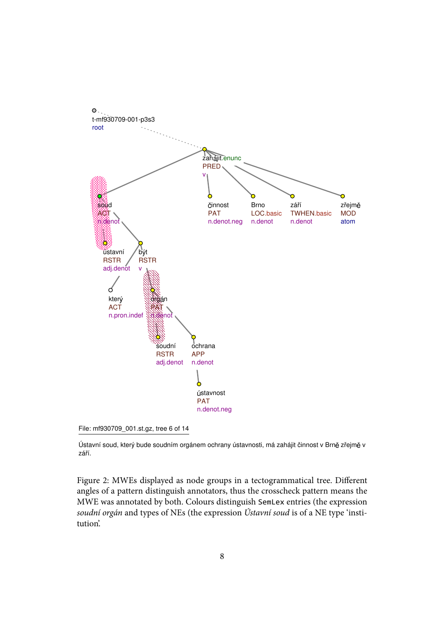



Ústavní soud, který bude soudním orgánem ochrany ústavnosti, má zahájit činnost v Brně zřejmě v září.

<span id="page-7-0"></span>Figure 2: MWEs displayed as node groups in a tectogrammatical tree. Different angles of a pattern distinguish annotators, thus the crosscheck pattern means the MWE was annotated by both. Colours distinguish SemLex entries (the expression *soudní orgán* and types of NEs (the expression *Ústavní soud* is of a NE type 'institution'.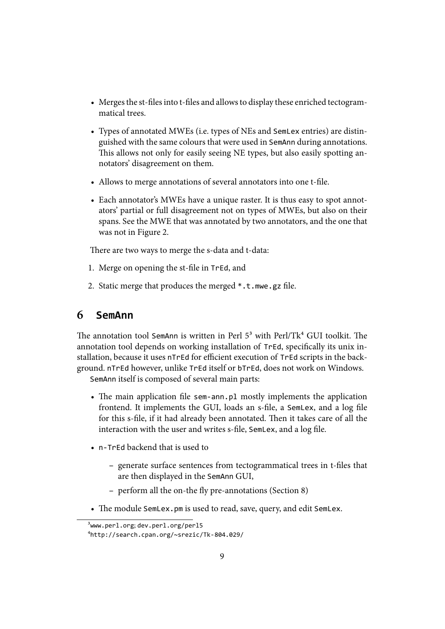- Merges the st-files into t-files and allows to display these enriched tectogrammatical trees.
- Types of annotated MWEs (i.e. types of NEs and SemLex entries) are distinguished with the same colours that were used in SemAnn during annotations. This allows not only for easily seeing NE types, but also easily spotting annotators' disagreement on them.
- Allows to merge annotations of several annotators into one t-file.
- Each annotator's MWEs have a unique raster. It is thus easy to spot annotators' partial or full disagreement not on types of MWEs, but also on their spans. See the MWE that was annotated by two annotators, and the one that was not in Figure 2.

There are two ways to merge the s-data and t-data:

- 1. Merge on openin[g t](#page-7-0)he st-file in TrEd, and
- 2. Static merge that produces the merged  $\ast$ .t.mwe.gz file.

### **6 SemAnn**

The annotation tool SemAnn is written in Perl  $5<sup>3</sup>$  with Perl/Tk<sup>4</sup> GUI toolkit. The annotation tool depends on working installation of TrEd, specifically its unix installation, because it uses nTrEd for efficient execution of TrEd scripts in the background. nTrEd however, unlike TrEd itself or bTrEd, does not [wo](#page-8-1)rk on Windows.

SemAnn itself is composed of several main pa[rt](#page-8-0)s:

- The main application file sem-ann.pl mostly implements the application frontend. It implements the GUI, loads an s-file, a SemLex, and a log file for this s-file, if it had already been annotated. Then it takes care of all the interaction with the user and writes s-file, SemLex, and a log file.
- n-TrEd backend that is used to
	- **–** generate surface sentences from tectogrammatical trees in t-ĕles that are then displayed in the SemAnn GUI,
	- **–** perform all the on-the fly pre-annotations (Section 8)
- The module SemLex.pm is used to read, save, query, and edit SemLex.

<sup>&</sup>lt;sup>3</sup>www.perl.org; dev.perl.org/perl5

<span id="page-8-1"></span><span id="page-8-0"></span>⁴http://search.cpan.org/~srezic/Tk-804.029/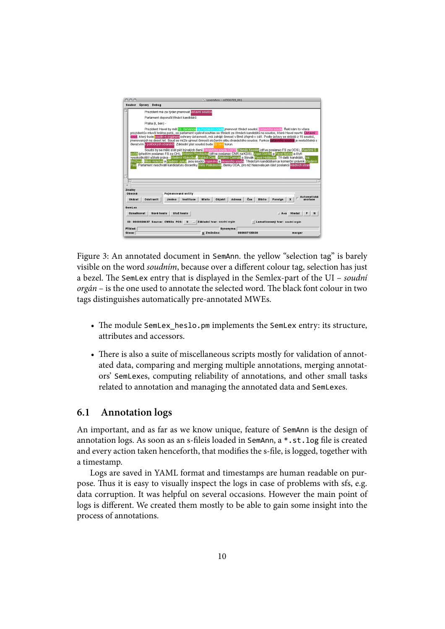

<span id="page-9-0"></span>Figure 3: An annotated document in SemAnn. the yellow "selection tag" is barely visible on the word *soudním*, because over a different colour tag, selection has just a bezel. The SemLex entry that is displayed in the Semlex-part of the UI – *soudní orgán* – is the one used to annotate the selected word. The black font colour in two tags distinguishes automatically pre-annotated MWEs.

- The module SemLex heslo.pm implements the SemLex entry: its structure, attributes and accessors.
- There is also a suite of miscellaneous scripts mostly for validation of annotated data, comparing and merging multiple annotations, merging annotators' SemLexes, computing reliability of annotations, and other small tasks related to annotation and managing the annotated data and SemLexes.

#### <span id="page-9-1"></span>**6.1 Annotation logs**

An important, and as far as we know unique, feature of SemAnn is the design of annotation logs. As soon as an s-fileis loaded in SemAnn, a \*.st.log file is created and every action taken henceforth, that modifies the s-file, is logged, together with a timestamp.

Logs are saved in YAML format and timestamps are human readable on purpose. Thus it is easy to visually inspect the logs in case of problems with sfs, e.g. data corruption. It was helpful on several occasions. However the main point of logs is different. We created them mostly to be able to gain some insight into the process of annotations.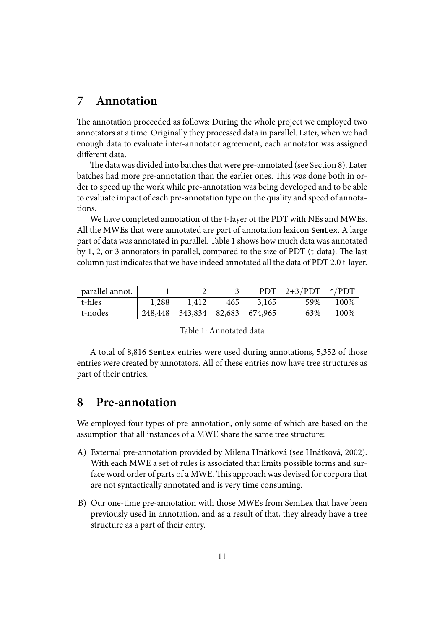### **7 Annotation**

The annotation proceeded as follows: During the whole project we employed two annotators at a time. Originally they processed data in parallel. Later, when we had enough data to evaluate inter-annotator agreement, each annotator was assigned different data.

The data was divided into batches that were pre-annotated (see Section 8). Later batches had more pre-annotation than the earlier ones. This was done both in order to speed up the work while pre-annotation was being developed and to be able to evaluate impact of each pre-annotation type on the quality and speed of [a](#page-10-0)nnotations.

We have completed annotation of the t-layer of the PDT with NEs and MWEs. All the MWEs that were annotated are part of annotation lexicon SemLex. A large part of data was annotated in parallel. Table 1 shows how much data was annotated by 1, 2, or 3 annotators in parallel, compared to the size of PDT (t-data). The last column just indicates that we have indeed annotated all the data of PDT 2.0 t-layer.

| parallel annot. |       |                                        |     |       | PDT $ 2+3/PDT */PDT$ |      |
|-----------------|-------|----------------------------------------|-----|-------|----------------------|------|
| t-files         | 1,288 | 1,412                                  | 465 | 3,165 | 59% l                | 100% |
| t-nodes         |       | $248,448$   343,834   82,683   674,965 |     |       | 63%                  | 100% |

Table 1: Annotated data

A total of 8,816 SemLex entries were used during annotations, 5,352 of those entries were created by annotators. All of these entries now have tree structures as part of their entries.

## **8 Pre-annotation**

<span id="page-10-0"></span>We employed four types of pre-annotation, only some of which are based on the assumption that all instances of a MWE share the same tree structure:

- A) External pre-annotation provided by Milena Hnátková (see Hnátková, 2002). With each MWE a set of rules is associated that limits possible forms and surface word order of parts of a MWE. This approach was devised for corpora that are not syntactically annotated and is very time consuming.
- <span id="page-10-2"></span><span id="page-10-1"></span>B) Our one-time pre-annotation with those MWEs from SemLex that have been previously used in annotation, and as a result of that, they already have a tree structure as a part of their entry.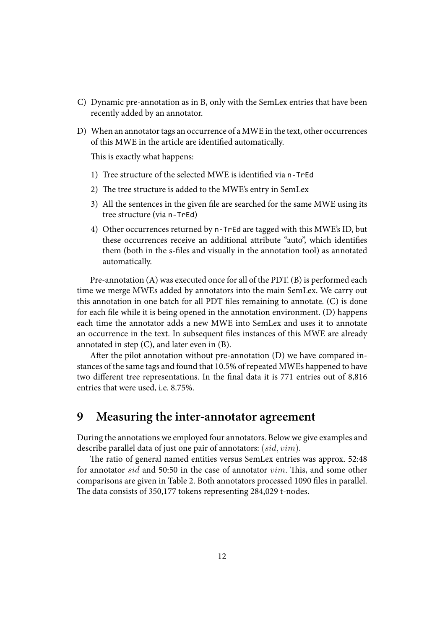- C) Dynamic pre-annotation as in B, only with the SemLex entries that have been recently added by an annotator.
- <span id="page-11-0"></span>D) When an annotator tags an occurrence of a MWE in the text, other occurrences of this MWE in the article are [id](#page-10-1)entified automatically.

<span id="page-11-1"></span>This is exactly what happens:

- 1) Tree structure of the selected MWE is identified via n-TrEd
- 2) The tree structure is added to the MWE's entry in SemLex
- 3) All the sentences in the given file are searched for the same MWE using its tree structure (via n-TrEd)
- 4) Other occurrences returned by n-TrEd are tagged with this MWE's ID, but these occurrences receive an additional attribute "auto", which identifies them (both in the s-files and visually in the annotation tool) as annotated automatically.

Pre-annotation (A) was executed once for all of the PDT. (B) is performed each time we merge MWEs added by annotators into the main SemLex. We carry out this annotation in one batch for all PDT files remaining to annotate.  $(C)$  is done for each file while it [is](#page-10-2) being opened in the annotati[on](#page-10-1) environment. (D) happens each time the annotator adds a new MWE into SemLex and uses it to annotate an occurrence in the text. In subsequent files instances of this MWE [are](#page-11-0) already annotated in step  $(C)$ , and later even in  $(B)$ .

After the pilot annotation without pre-annotation  $(D)$  we have c[om](#page-11-1)pared instances of the same tags and found that 10.5% of repeated MWEs happened to have two different tree [re](#page-11-0)pr[e](#page-10-1)sentations. In the final data it is 771 entries out of 8,816 entries that were used, i.e. 8.75%.

## **9 Measuring the inter-annotator agreement**

During the annotations we employed four annotators. Below we give examples and describe parallel data of just one pair of annotators: (*sid, vim*).

The ratio of general named entities versus SemLex entries was approx. 52:48 for annotator *sid* and 50:50 in the case of annotator *vim*. This, and some other comparisons are given in Table 2. Both annotators processed 1090 files in parallel. The data consists of 350,177 tokens representing 284,029 t-nodes.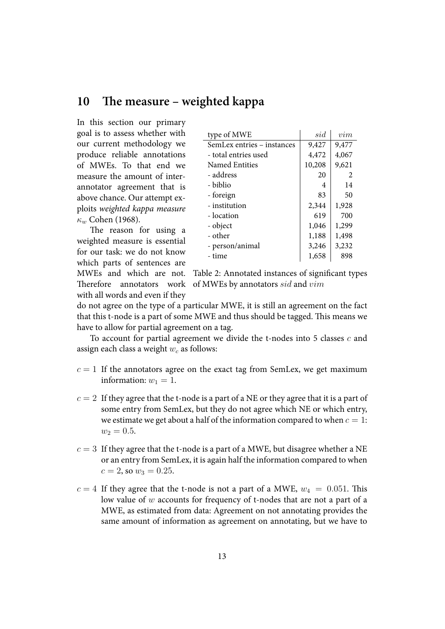## 10 The measure – weighted kappa

<span id="page-12-0"></span>In this section our primary goal is to assess whether with our current methodology we produce reliable annotations of MWEs. To that end we measure the amount of interannotator agreement that is above chance. Our attempt exploits *weighted kappa measure κ<sup>w</sup>* Cohen (1968).

The reason for using a weighted measure is essential for [our task: we](#page-18-1) do not know which parts of sentences are MWEs and which are not.

with all words and even if they

| type of MWE                | sid    | vim   |
|----------------------------|--------|-------|
| SemLex entries - instances | 9,427  | 9,477 |
| - total entries used       | 4,472  | 4,067 |
| Named Entities             | 10,208 | 9,621 |
| - address                  | 20     | 2     |
| - biblio                   | 4      | 14    |
| - foreign                  | 83     | 50    |
| - institution              | 2,344  | 1,928 |
| - location                 | 619    | 700   |
| - object                   | 1,046  | 1,299 |
| - other                    | 1,188  | 1,498 |
| - person/animal            | 3,246  | 3,232 |
| - time                     | 1,658  | 898   |

Table 2: Annotated instances of significant types Therefore annotators work of MWEs by annotators *sid* and  $vim$ 

do not agree on the type of a particular MWE, it is still an agreement on the fact that this t-node is a part of some MWE and thus should be tagged. This means we have to allow for partial agreement on a tag.

To account for partial agreement we divide the t-nodes into 5 classes *c* and assign each class a weight *w<sup>c</sup>* as follows:

- $c = 1$  If the annotators agree on the exact tag from SemLex, we get maximum information:  $w_1 = 1$ .
- $c = 2$  If they agree that the t-node is a part of a NE or they agree that it is a part of some entry from SemLex, but they do not agree which NE or which entry, we estimate we get about a half of the information compared to when  $c = 1$ :  $w_2 = 0.5$ .
- $c = 3$  If they agree that the t-node is a part of a MWE, but disagree whether a NE or an entry from SemLex, it is again half the information compared to when  $c = 2$ , so  $w_3 = 0.25$ .
- $c = 4$  If they agree that the t-node is not a part of a MWE,  $w_4 = 0.051$ . This low value of *w* accounts for frequency of t-nodes that are not a part of a MWE, as estimated from data: Agreement on not annotating provides the same amount of information as agreement on annotating, but we have to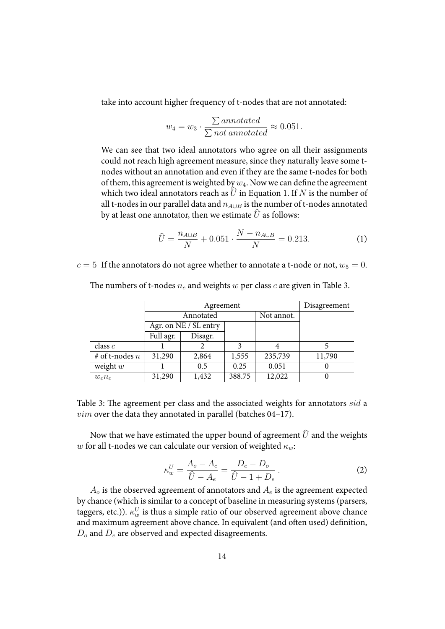take into account higher frequency of t-nodes that are not annotated:

$$
w_4 = w_3 \cdot \frac{\sum annotated}{\sum not annotated} \approx 0.051.
$$

We can see that two ideal annotators who agree on all their assignments could not reach high agreement measure, since they naturally leave some tnodes without an annotation and even if they are the same t-nodes for both of them, this agreement is weighted by  $w_4$ . Now we can define the agreement which two ideal annotators reach as  $U$  in Equation 1. If  $N$  is the number of all t-nodes in our parallel data and  $n_{A\cup B}$  is the number of t-nodes annotated by at least one annotator, then we estimate  $\hat{U}$  as follows:

<span id="page-13-0"></span>
$$
\hat{U} = \frac{n_{A \cup B}}{N} + 0.051 \cdot \frac{N - n_{A \cup B}}{N} = 0.213. \tag{1}
$$

 $c = 5$  If the annotators do not agree whether to annotate a t-node or not,  $w_5 = 0$ .

|                  |                         | Disagreement          |        |         |        |
|------------------|-------------------------|-----------------------|--------|---------|--------|
|                  | Annotated<br>Not annot. |                       |        |         |        |
|                  |                         | Agr. on NE / SL entry |        |         |        |
|                  | Full agr.               | Disagr.               |        |         |        |
| class $c$        |                         |                       | 3      |         |        |
| # of t-nodes $n$ | 31,290                  | 2,864                 | 1,555  | 235,739 | 11,790 |
| weight $w$       |                         | 0.5                   | 0.25   | 0.051   |        |
| $w_c n_c$        | 31,290                  | 1,432                 | 388.75 | 12,022  |        |

The numbers of t-nodes  $n_c$  and weights  $w$  per class  $c$  are given in Table 3.

Table 3: The agreement per class and the associated weights for annotators *sid* a *vim* over the data they annotated in parallel (batches 04–17).

<span id="page-13-1"></span>Now that we have estimated the upper bound of agreement  $\hat{U}$  and the weights *w* for all t-nodes we can calculate our version of weighted *κw*:

$$
\kappa_w^U = \frac{A_o - A_e}{\hat{U} - A_e} = \frac{D_e - D_o}{\hat{U} - 1 + D_e} \,. \tag{2}
$$

*A<sup>o</sup>* is the observed agreement of annotators and *A<sup>e</sup>* is the agreement expected by chance (which is similar to a concept of baseline in measuring systems (parsers, taggers, etc.)).  $\kappa_w^U$  is thus a simple ratio of our observed agreement above chance and maximum agreement above chance. In equivalent (and often used) definition, *D<sup>o</sup>* and *D<sup>e</sup>* are observed and expected disagreements.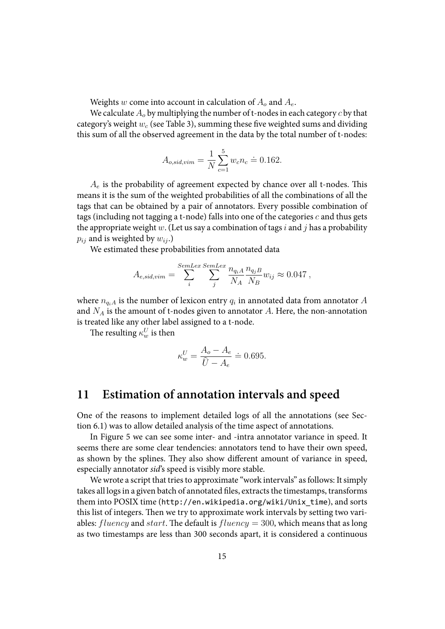Weights *w* come into account in calculation of *A<sup>o</sup>* and *Ae*.

We calculate *A<sup>o</sup>* by multiplying the number of t-nodes in each category *c* by that category's weight  $w_c$  (see Table 3), summing these five weighted sums and dividing this sum of all the observed agreement in the data by the total number of t-nodes:

$$
A_{o,sid,vim} = \frac{1}{N} \sum_{c=1}^{5} w_c n_c \doteq 0.162.
$$

 $A_e$  is the probability of agreement expected by chance over all t-nodes. This means it is the sum of the weighted probabilities of all the combinations of all the tags that can be obtained by a pair of annotators. Every possible combination of tags (including not tagging a t-node) falls into one of the categories *c* and thus gets the appropriate weight *w*. (Let us say a combination of tags*i* and *j* has a probability  $p_{ij}$  and is weighted by  $w_{ij}$ .)

We estimated these probabilities from annotated data

$$
A_{e,sid,vim} = \sum_{i}^{SemLex} \sum_{j}^{SemLex} \frac{n_{q_i A}}{N_A} \frac{n_{q_j B}}{N_B} w_{ij} \approx 0.047 ,
$$

where  $n_{q_iA}$  is the number of lexicon entry  $q_i$  in annotated data from annotator  $A$ and *N<sup>A</sup>* is the amount of t-nodes given to annotator *A*. Here, the non-annotation is treated like any other label assigned to a t-node.

The resulting  $\kappa_w^U$  is then

$$
\kappa_w^U = \frac{A_o - A_e}{\hat{U} - A_e} \doteq 0.695.
$$

## **11 Estimation of annotation intervals and speed**

One of the reasons to implement detailed logs of all the annotations (see Section 6.1) was to allow detailed analysis of the time aspect of annotations.

In Figure 5 we can see some inter- and -intra annotator variance in speed. It seems there are some clear tendencies: annotators tend to have their own speed, as s[how](#page-9-1)n by the splines. They also show different amount of variance in speed, especially an[no](#page-16-0)tator *sid*'s speed is visibly more stable.

We wrote a script that tries to approximate "work intervals" as follows: It simply takes all logs in a given batch of annotated ĕles, extracts the timestamps, transforms them into POSIX time (http://en.wikipedia.org/wiki/Unix\_time), and sorts this list of integers. Then we try to approximate work intervals by setting two variables:  $fluency$  and *start*. The default is  $fluency = 300$ , which means that as long as two timestamps are [less than 300 seconds apart, it is considered a c](http://en.wikipedia.org/wiki/Unix_time)ontinuous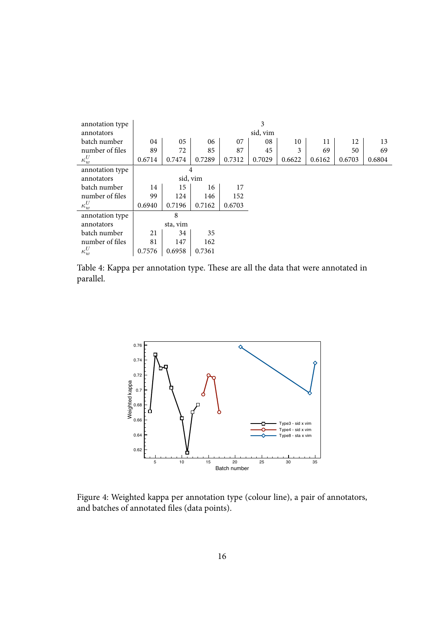| annotation type | 3        |          |        |        |        |        |        |        |        |
|-----------------|----------|----------|--------|--------|--------|--------|--------|--------|--------|
| annotators      | sid, vim |          |        |        |        |        |        |        |        |
| batch number    | 04       | 05       | 06     | 07     | 08     | 10     | 11     | 12     | 13     |
| number of files | 89       | 72       | 85     | 87     | 45     | 3      | 69     | 50     | 69     |
| $\kappa_w^U$    | 0.6714   | 0.7474   | 0.7289 | 0.7312 | 0.7029 | 0.6622 | 0.6162 | 0.6703 | 0.6804 |
| annotation type | 4        |          |        |        |        |        |        |        |        |
| annotators      |          | sid, vim |        |        |        |        |        |        |        |
| batch number    | 14       | 15       | 16     | 17     |        |        |        |        |        |
| number of files | 99       | 124      | 146    | 152    |        |        |        |        |        |
| $\kappa_w^U$    | 0.6940   | 0.7196   | 0.7162 | 0.6703 |        |        |        |        |        |
| annotation type |          | 8        |        |        |        |        |        |        |        |
| annotators      | sta, vim |          |        |        |        |        |        |        |        |
| batch number    | 21       | 34       | 35     |        |        |        |        |        |        |
| number of files | 81       | 147      | 162    |        |        |        |        |        |        |
| $\kappa_w^U$    | 0.7576   | 0.6958   | 0.7361 |        |        |        |        |        |        |

Table 4: Kappa per annotation type. These are all the data that were annotated in parallel.



Figure 4: Weighted kappa per annotation type (colour line), a pair of annotators, and batches of annotated files (data points).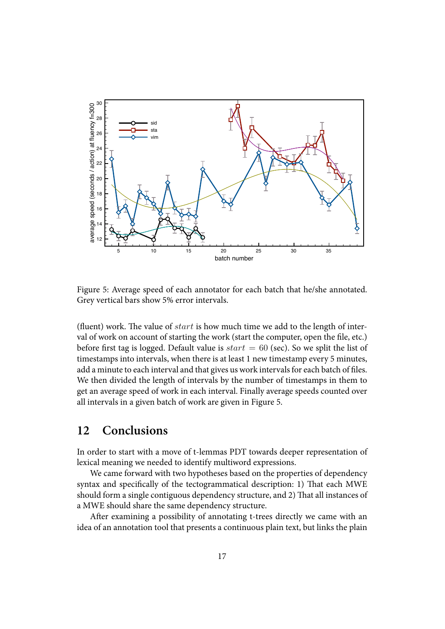

Figure 5: Average speed of each annotator for each batch that he/she annotated. Grey vertical bars show 5% error intervals.

<span id="page-16-0"></span>(fluent) work. The value of  $start$  is how much time we add to the length of interval of work on account of starting the work (start the computer, open the file, etc.) before first tag is logged. Default value is  $start = 60$  (sec). So we split the list of timestamps into intervals, when there is at least 1 new timestamp every 5 minutes, add a minute to each interval and that gives us work intervals for each batch of files. We then divided the length of intervals by the number of timestamps in them to get an average speed of work in each interval. Finally average speeds counted over all intervals in a given batch of work are given in Figure 5.

## **12 Conclusions**

In order to start with a move of t-lemmas PDT towards deeper representation of lexical meaning we needed to identify multiword expressions.

We came forward with two hypotheses based on the properties of dependency syntax and specifically of the tectogrammatical description: 1) That each MWE should form a single contiguous dependency structure, and 2) That all instances of a MWE should share the same dependency structure.

After examining a possibility of annotating t-trees directly we came with an idea of an annotation tool that presents a continuous plain text, but links the plain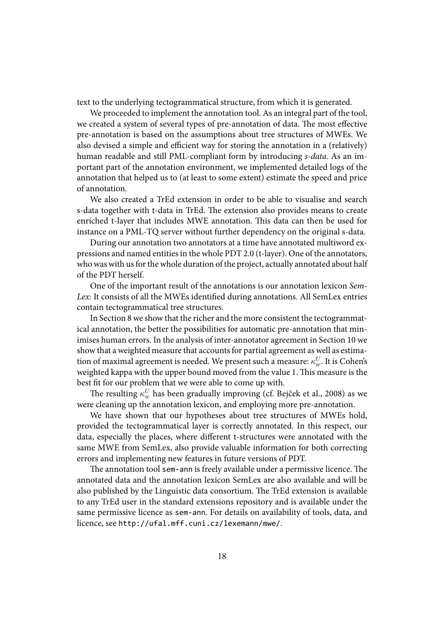text to the underlying tectogrammatical structure, from which it is generated.

We proceeded to implement the annotation tool. As an integral part of the tool, we created a system of several types of pre-annotation of data. The most effective pre-annotation is based on the assumptions about tree structures of MWEs. We also devised a simple and efficient way for storing the annotation in a (relatively) human readable and still PML-compliant form by introducing *s-data*. As an important part of the annotation environment, we implemented detailed logs of the annotation that helped us to (at least to some extent) estimate the speed and price of annotation.

We also created a TrEd extension in order to be able to visualise and search s-data together with t-data in TrEd. The extension also provides means to create enriched t-layer that includes MWE annotation. This data can then be used for instance on a PML-TQ server without further dependency on the original s-data.

During our annotation two annotators at a time have annotated multiword expressions and named entities in the whole PDT 2.0 (t-layer). One of the annotators, who was with us for the whole duration of the project, actually annotated about half of the PDT herself.

One of the important result of the annotations is our annotation lexicon *Sem-Lex*: It consists of all the MWEs identified during annotations. All SemLex entries contain tectogrammatical tree structures.

In Section 8 we show that the richer and the more consistent the tectogrammatical annotation, the better the possibilities for automatic pre-annotation that minimises human errors. In the analysis of inter-annotator agreement in Section 10 we show that a w[eig](#page-10-0)hted measure that accounts for partial agreement as well as estimation of maximal agreement is needed. We present such a measure:  $κ_w^U$ . It is Cohen's weighted kappa with the upper bound moved from the value 1. This measur[e is](#page-12-0) the best fit for our problem that we were able to come up with.

The resulting  $\kappa^U_w$  has been gradually improving (cf. Bejček et al., 2008) as we were cleaning up the annotation lexicon, and employing more pre-annotation.

We have shown that our hypotheses about tree structures of MWEs hold, provided the tectogrammatical layer is correctly anno[tated. In this respe](#page-18-2)ct, our data, especially the places, where different t-structures were annotated with the same MWE from SemLex, also provide valuable information for both correcting errors and implementing new features in future versions of PDT.

The annotation tool sem-ann is freely available under a permissive licence. The annotated data and the annotation lexicon SemLex are also available and will be also published by the Linguistic data consortium. The TrEd extension is available to any TrEd user in the standard extensions repository and is available under the same permissive licence as sem-ann. For details on availability of tools, data, and licence, see http://ufal.mff.cuni.cz/lexemann/mwe/.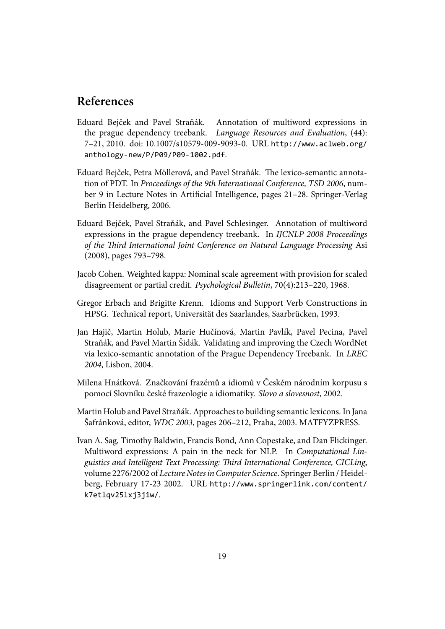## **References**

- Eduard Bejček and Pavel Straňák. Annotation of multiword expressions in the prague dependency treebank. *Language Resources and Evaluation*, (44): 7–21, 2010. doi: 10.1007/s10579-009-9093-0. URL http://www.aclweb.org/ anthology-new/P/P09/P09-1002.pdf.
- Eduard Bejček, Petra Möllerová, and Pavel Straňák. The lexico-semantic annotation of PDT. In *Proceedings of the 9th International [Conference, TSD 2006](http://www.aclweb.org/anthology-new/P/P09/P09-1002.pdf)*, number 9 in Lecture Notes in Artificial Intelligence, pages 21–28. Springer-Verlag Berlin Heidelberg, 2006.
- Eduard Bejček, Pavel Straňák, and Pavel Schlesinger. Annotation of multiword expressions in the prague dependency treebank. In *IJCNLP 2008 Proceedings of the ird International Joint Conference on Natural Language Processing* Asi (2008), pages 793–798.
- <span id="page-18-2"></span>Jacob Cohen. Weighted kappa: Nominal scale agreement with provision for scaled disagreement or partial credit. *Psychological Bulletin*, 70(4):213–220, 1968.
- <span id="page-18-1"></span>Gregor Erbach and Brigitte Krenn. Idioms and Support Verb Constructions in HPSG. Technical report, Universität des Saarlandes, Saarbrücken, 1993.
- Jan Hajič, Martin Holub, Marie Hučínová, Martin Pavlík, Pavel Pecina, Pavel Straňák, and Pavel Martin Šidák. Validating and improving the Czech WordNet via lexico-semantic annotation of the Prague Dependency Treebank. In *LREC 2004*, Lisbon, 2004.
- Milena Hnátková. Značkování frazémů a idiomů v Českém národním korpusu s pomocí Slovníku české frazeologie a idiomatiky. *Slovo a slovesnost*, 2002.
- Martin Holub and Pavel Straňák. Approaches to building semantic lexicons. In Jana Šafránková, editor, *WDC 2003*, pages 206–212, Praha, 2003. MATFYZPRESS.
- <span id="page-18-0"></span>Ivan A. Sag, Timothy Baldwin, Francis Bond, Ann Copestake, and Dan Flickinger. Multiword expressions: A pain in the neck for NLP. In *Computational Linguistics and Intelligent Text Processing: ird International Conference, CICLing*, volume 2276/2002 of *Lecture Notes in Computer Science*. Springer Berlin / Heidelberg, February 17-23 2002. URL http://www.springerlink.com/content/ k7etlqv25lxj3j1w/.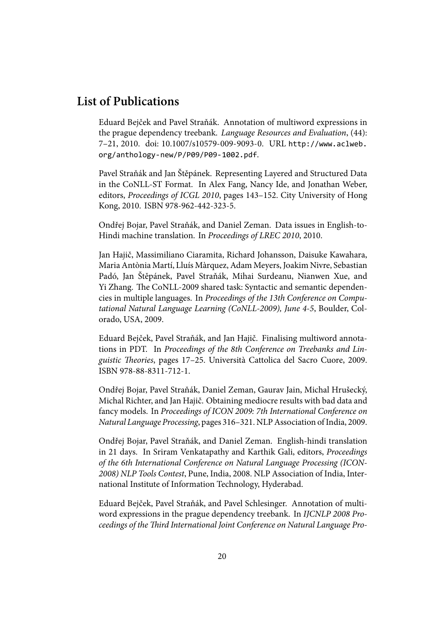## **List of Publications**

Eduard Bejček and Pavel Straňák. Annotation of multiword expressions in the prague dependency treebank. *Language Resources and Evaluation*, (44): 7–21, 2010. doi: 10.1007/s10579-009-9093-0. URL http://www.aclweb. org/anthology-new/P/P09/P09-1002.pdf.

Pavel Straňák and Jan Štěpánek. Representing Layered and Structured Data in the CoNLL-ST Format. In Alex Fang, Nancy Ide[, and Jonathan Weber,](http://www.aclweb.org/anthology-new/P/P09/P09-1002.pdf) editors, *[Proceedings of ICGL 2010](http://www.aclweb.org/anthology-new/P/P09/P09-1002.pdf)*, pages 143–152. City University of Hong Kong, 2010. ISBN 978-962-442-323-5.

Ondřej Bojar, Pavel Straňák, and Daniel Zeman. Data issues in English-to-Hindi machine translation. In *Proceedings of LREC 2010*, 2010.

Jan Hajič, Massimiliano Ciaramita, Richard Johansson, Daisuke Kawahara, Maria Antònia Martí, Lluís Màrquez, Adam Meyers, Joakim Nivre, Sebastian Padó, Jan Štěpánek, Pavel Straňák, Mihai Surdeanu, Nianwen Xue, and Yi Zhang. The CoNLL-2009 shared task: Syntactic and semantic dependencies in multiple languages. In *Proceedings of the 13th Conference on Computational Natural Language Learning (CoNLL-2009), June 4-5*, Boulder, Colorado, USA, 2009.

Eduard Bejček, Pavel Straňák, and Jan Hajič. Finalising multiword annotations in PDT. In *Proceedings of the 8th Conference on Treebanks and Linguistic eories*, pages 17–25. Università Cattolica del Sacro Cuore, 2009. ISBN 978-88-8311-712-1.

Ondřej Bojar, Pavel Straňák, Daniel Zeman, Gaurav Jain, Michal Hrušecký, Michal Richter, and Jan Hajič. Obtaining mediocre results with bad data and fancy models. In *Proceedings of ICON 2009: 7th International Conference on Natural Language Processing*, pages 316–321. NLP Association of India, 2009.

Ondřej Bojar, Pavel Straňák, and Daniel Zeman. English-hindi translation in 21 days. In Sriram Venkatapathy and Karthik Gali, editors, *Proceedings of the 6th International Conference on Natural Language Processing (ICON-2008) NLP Tools Contest*, Pune, India, 2008. NLP Association of India, International Institute of Information Technology, Hyderabad.

Eduard Bejček, Pavel Straňák, and Pavel Schlesinger. Annotation of multiword expressions in the prague dependency treebank. In *IJCNLP 2008 Pro*ceedings of the Third International Joint Conference on Natural Language Pro